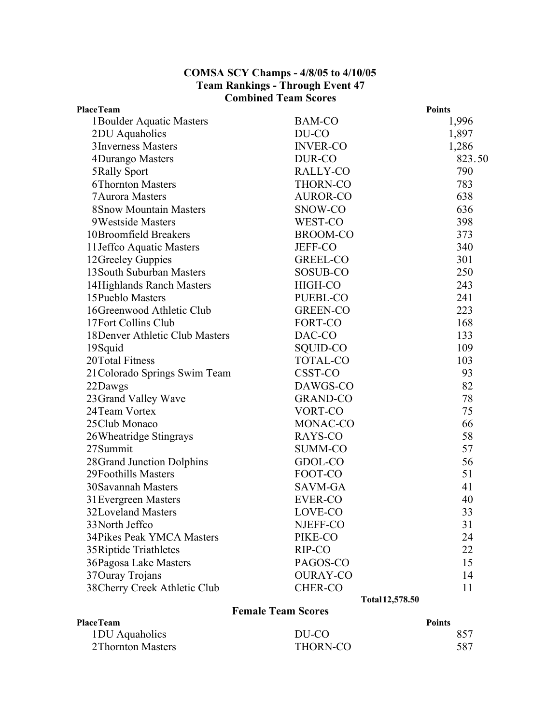## **COMSA SCY Champs - 4/8/05 to 4/10/05 Team Rankings - Through Event 47 Combined Team Scores**

| <b>PlaceTeam</b>                 |                 | <b>Points</b> |
|----------------------------------|-----------------|---------------|
| 1 Boulder Aquatic Masters        | <b>BAM-CO</b>   | 1,996         |
| 2DU Aquaholics                   | DU-CO           | 1,897         |
| 3 Inverness Masters              | <b>INVER-CO</b> | 1,286         |
| 4Durango Masters                 | DUR-CO          | 823.50        |
| 5 Rally Sport                    | RALLY-CO        | 790           |
| <b>6Thornton Masters</b>         | <b>THORN-CO</b> | 783           |
| <b>7Aurora Masters</b>           | <b>AUROR-CO</b> | 638           |
| <b>8Snow Mountain Masters</b>    | SNOW-CO         | 636           |
| 9Westside Masters                | WEST-CO         | 398           |
| 10Broomfield Breakers            | <b>BROOM-CO</b> | 373           |
| 11 Jeffco Aquatic Masters        | <b>JEFF-CO</b>  | 340           |
| 12Greeley Guppies                | <b>GREEL-CO</b> | 301           |
| 13 South Suburban Masters        | SOSUB-CO        | 250           |
| 14 Highlands Ranch Masters       | HIGH-CO         | 243           |
| 15 Pueblo Masters                | PUEBL-CO        | 241           |
| 16Greenwood Athletic Club        | <b>GREEN-CO</b> | 223           |
| 17Fort Collins Club              | FORT-CO         | 168           |
| 18 Denver Athletic Club Masters  | DAC-CO          | 133           |
| 19Squid                          | SQUID-CO        | 109           |
| 20Total Fitness                  | <b>TOTAL-CO</b> | 103           |
| 21 Colorado Springs Swim Team    | CSST-CO         | 93            |
| 22Dawgs                          | DAWGS-CO        | 82            |
| 23 Grand Valley Wave             | <b>GRAND-CO</b> | 78            |
| 24 Team Vortex                   | VORT-CO         | 75            |
| 25Club Monaco                    | MONAC-CO        | 66            |
| 26Wheatridge Stingrays           | RAYS-CO         | 58            |
| 27Summit                         | <b>SUMM-CO</b>  | 57            |
| 28 Grand Junction Dolphins       | GDOL-CO         | 56            |
| 29Foothills Masters              | FOOT-CO         | 51            |
| <b>30Savannah Masters</b>        | SAVM-GA         | 41            |
| 31 Evergreen Masters             | <b>EVER-CO</b>  | 40            |
| 32Loveland Masters               | LOVE-CO         | 33            |
| 33 North Jeffco                  | NJEFF-CO        | 31            |
| <b>34Pikes Peak YMCA Masters</b> | PIKE-CO         | 24            |
| 35 Riptide Triathletes           | RIP-CO          | 22            |
| 36Pagosa Lake Masters            | PAGOS-CO        | 15            |
| 37 Ouray Trojans                 | <b>OURAY-CO</b> | 14            |
| 38Cherry Creek Athletic Club     | <b>CHER-CO</b>  | 11            |
|                                  | Total 12,578.50 |               |

## **Female Team Scores**

| <b>PlaceTeam</b>   |          | <b>Points</b> |
|--------------------|----------|---------------|
| 1 DU Aquaholics    | DU-CO    | 857           |
| 2 Thornton Masters | THORN-CO | 587           |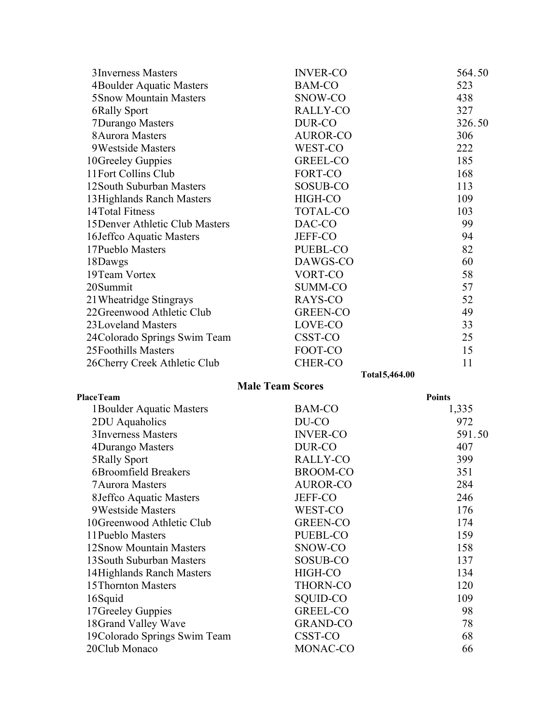| 3 Inverness Masters             | <b>INVER-CO</b> | 564.50 |
|---------------------------------|-----------------|--------|
| 4Boulder Aquatic Masters        | <b>BAM-CO</b>   | 523    |
| <b>5Snow Mountain Masters</b>   | SNOW-CO         | 438    |
| 6Rally Sport                    | RALLY-CO        | 327    |
| 7Durango Masters                | DUR-CO          | 326.50 |
| 8 Aurora Masters                | <b>AUROR-CO</b> | 306    |
| 9Westside Masters               | WEST-CO         | 222    |
| 10Greeley Guppies               | GREEL-CO        | 185    |
| 11Fort Collins Club             | FORT-CO         | 168    |
| 12 South Suburban Masters       | SOSUB-CO        | 113    |
| 13 Highlands Ranch Masters      | HIGH-CO         | 109    |
| 14Total Fitness                 | <b>TOTAL-CO</b> | 103    |
| 15 Denver Athletic Club Masters | DAC-CO          | 99     |
| 16Jeffco Aquatic Masters        | <b>JEFF-CO</b>  | 94     |
| 17 Pueblo Masters               | <b>PUEBL-CO</b> | 82     |
| 18Dawgs                         | DAWGS-CO        | 60     |
| 19Team Vortex                   | VORT-CO         | 58     |
| 20Summit                        | <b>SUMM-CO</b>  | 57     |
| 21 Wheatridge Stingrays         | RAYS-CO         | 52     |
| 22Greenwood Athletic Club       | <b>GREEN-CO</b> | 49     |
| 23Loveland Masters              | LOVE-CO         | 33     |
| 24Colorado Springs Swim Team    | CSST-CO         | 25     |
| 25Foothills Masters             | FOOT-CO         | 15     |
| 26 Cherry Creek Athletic Club   | <b>CHER-CO</b>  | 11     |

**Total5,464.00**

| <b>PlaceTeam</b>             |                 | <b>Points</b> |
|------------------------------|-----------------|---------------|
| 1 Boulder Aquatic Masters    | <b>BAM-CO</b>   | 1,335         |
| 2DU Aquaholics               | DU-CO           | 972           |
| 3 Inverness Masters          | <b>INVER-CO</b> | 591.50        |
| 4Durango Masters             | DUR-CO          | 407           |
| 5Rally Sport                 | RALLY-CO        | 399           |
| 6Broomfield Breakers         | <b>BROOM-CO</b> | 351           |
| <b>7 Aurora Masters</b>      | <b>AUROR-CO</b> | 284           |
| 8 Jeffco Aquatic Masters     | <b>JEFF-CO</b>  | 246           |
| 9Westside Masters            | WEST-CO         | 176           |
| 10Greenwood Athletic Club    | <b>GREEN-CO</b> | 174           |
| 11 Pueblo Masters            | PUEBL-CO        | 159           |
| 12 Snow Mountain Masters     | SNOW-CO         | 158           |
| 13 South Suburban Masters    | SOSUB-CO        | 137           |
| 14 Highlands Ranch Masters   | HIGH-CO         | 134           |
| 15 Thornton Masters          | <b>THORN-CO</b> | 120           |
| 16Squid                      | SQUID-CO        | 109           |
| 17 Greeley Guppies           | <b>GREEL-CO</b> | 98            |
| 18Grand Valley Wave          | <b>GRAND-CO</b> | 78            |
| 19Colorado Springs Swim Team | CSST-CO         | 68            |
| 20Club Monaco                | MONAC-CO        | 66            |

**Male Team Scores**